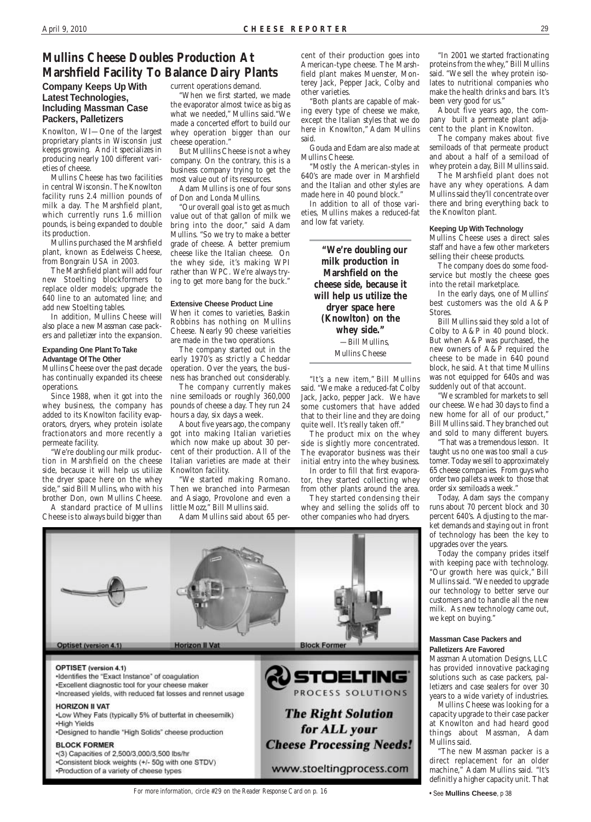### **Company Keeps Up With Latest Technologies, Including Massman Case Packers, Palletizers**

Knowlton, WI—One of the largest proprietary plants in Wisconsin just keeps growing. And it specializes in producing nearly 100 different varieties of cheese.

Mullins Cheese has two facilities in central Wisconsin. The Knowlton facility runs 2.4 million pounds of milk a day. The Marshfield plant, which currently runs 1.6 million pounds, is being expanded to double its production.

Mullins purchased the Marshfield plant, known as Edelweiss Cheese, from Bongrain USA in 2003.

The Marshfield plant will add four new Stoelting blockformers to replace older models; upgrade the 640 line to an automated line; and add new Stoelting tables.

In addition, Mullins Cheese will also place a new Massman case packers and palletizer into the expansion.

#### **Expanding One Plant To Take Advantage Of The Other**

Mullins Cheese over the past decade has continually expanded its cheese operations.

Since 1988, when it got into the whey business, the company has added to its Knowlton facility evaporators, dryers, whey protein isolate fractionators and more recently a permeate facility.

"We're doubling our milk production in Marshfield on the cheese side, because it will help us utilize the dryer space here on the whey side," said Bill Mullins, who with his brother Don, own Mullins Cheese.

A standard practice of Mullins Cheese is to always build bigger than

current operations demand.

"When we first started, we made the evaporator almost twice as big as what we needed," Mullins said."We made a concerted effort to build our whey operation bigger than our cheese operation."

But Mulllins Cheese is not a whey company. On the contrary, this is a business company trying to get the most value out of its resources.

Adam Mullins is one of four sons of Don and Londa Mullins.

"Our overall goal is to get as much value out of that gallon of milk we bring into the door," said Adam Mullins. "So we try to make a better grade of cheese. A better premium cheese like the Italian cheese. On the whey side, it's making WPI rather than WPC. We're always trying to get more bang for the buck."

#### **Extensive Cheese Product Line**

When it comes to varieties, Baskin Robbins has nothing on Mullins Cheese. Nearly 90 cheese varieities are made in the two operations.

The company started out in the early 1970's as strictly a Cheddar operation. Over the years, the business has branched out considerably.

The company currently makes nine semiloads or roughly 360,000 pounds of cheese a day. They run 24 hours a day, six days a week.

About five years ago, the company got into making Italian varieties which now make up about 30 percent of their production. All of the Italian varieties are made at their Knowlton facility.

"We started making Romano. Then we branched into Parmesan and Asiago, Provolone and even a little Mozz," Bill Mullins said.

Adam Mullins said about 65 per-

# **Mullins Cheese Doubles Production At Marshfield Facility To Balance Dairy Plants**

cent of their production goes into American-type cheese. The Marshfield plant makes Muenster, Monterey Jack, Pepper Jack, Colby and other varieties.

"Both plants are capable of making every type of cheese we make, except the Italian styles that we do here in Knowlton," Adam Mullins said.

Gouda and Edam are also made at Mullins Cheese.

"Mostly the American-styles in 640's are made over in Marshfield and the Italian and other styles are made here in 40 pound block."

In addition to all of those varieties, Mullins makes a reduced-fat and low fat variety.

> **"We're doubling our milk production in Marshfield on the cheese side, because it will help us utilize the dryer space here (Knowlton) on the whey side."** —Bill Mullins, Mullins Cheese

"It's a new item," Bill Mullins said. "We make a reduced-fat Colby Jack, Jacko, pepper Jack. We have some customers that have added that to their line and they are doing quite well. It's really taken off."

The product mix on the whey side is slightly more concentrated. The evaporator business was their initial entry into the whey business.

In order to fill that first evaporator, they started collecting whey from other plants around the area.

They started condensing their whey and selling the solids off to other companies who had dryers.



"In 2001 we started fractionating proteins from the whey," Bill Mullins said. "We sell the whey protein isolates to nutritional companies who make the health drinks and bars. It's been very good for us."

About five years ago, the company built a permeate plant adjacent to the plant in Knowlton.

The company makes about five semiloads of that permeate product and about a half of a semiload of whey protein a day, Bill Mullins said.

The Marshfield plant does not have any whey operations. Adam Mullins said they'll concentrate over there and bring everything back to the Knowlton plant.

#### **Keeping Up With Technology**

Mullins Cheese uses a direct sales staff and have a few other marketers selling their cheese products.

The company does do some foodservice but mostly the cheese goes into the retail marketplace.

In the early days, one of Mullins' best customers was the old A&P Stores.

Bill Mullins said they sold a lot of Colby to A&P in 40 pound block. But when A&P was purchased, the new owners of A&P required the cheese to be made in 640 pound block, he said. At that time Mullins was not equipped for 640s and was suddenly out of that account.

"We scrambled for markets to sell our cheese. We had 30 days to find a new home for all of our product," Bill Mullins said. They branched out and sold to many different buyers.

"That was a tremendous lesson. It taught us no one was too small a customer. Today we sell to approximately 65 cheese companies. From guys who order two pallets a week to those that order six semiloads a week."

Today, Adam says the company runs about 70 percent block and 30 percent 640's. Adjusting to the market demands and staying out in front of technology has been the key to upgrades over the years.

Today the company prides itself with keeping pace with technology. "Our growth here was quick," Bill Mullins said. "We needed to upgrade our technology to better serve our customers and to handle all the new milk. As new technology came out, we kept on buying."

#### Optiset (version 4.1)

#### **Horizon II Vat**

#### **Block Former**

#### OPTISET (version 4.1)

·Identifies the "Exact Instance" of coagulation \*Excellent diagnostic tool for your cheese maker ·Increased yields, with reduced fat losses and rennet usage

#### **HORIZON II VAT**

.Low Whey Fats (typically 5% of butterfat in cheesemilk) .High Yields

\*Designed to handle "High Solids" cheese production

#### **BLOCK FORMER**

-(3) Capacities of 2,500/3,000/3,500 lbs/hr \*Consistent block weights (+/- 50g with one STDV) .Production of a variety of cheese types

STOELTING PROCESS SOLUTIONS **The Right Solution** for ALL your **Cheese Processing Needs!** 

www.stoeltingprocess.com

## **Palletizers Are Favored**

Massman Automation Designs, LLC has provided innovative packaging solutions such as case packers, palletizers and case sealers for over 30 years to a wide variety of industries. Mullins Cheese was looking for a capacity upgrade to their case packer at Knowlton and had heard good things about Massman, Adam Mullins said.

"The new Massman packer is a direct replacement for an older machine," Adam Mullins said. "It's definitly a higher capacity unit. That

*For more information, circle #29 on the Reader Response Card on p. 16* • See **Mullins Cheese**, p 38